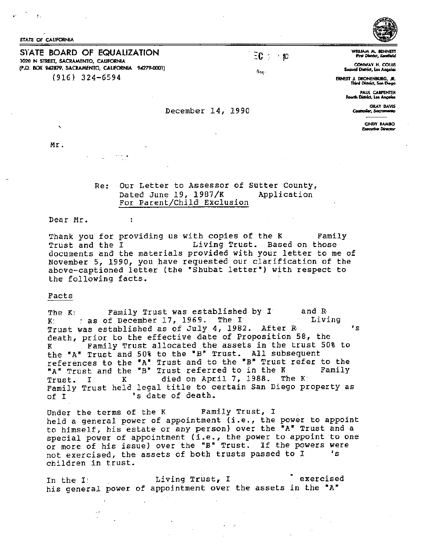STATE Of CALIFORNIA

S1ATE BOARD OF EQUALIZATION 1020 N STREET, SACRAMENTO, CAUFORNIA (P.O. BOX 942879, SACRAMENTO, CALIFORNIA 94279-0001) (916) 324-6594

WILLIAM M. BENNET fint Didnd, Koollfftld

CONWAY H. COLUS Second District, Los Angeles

ERNEST J. DRONENIIURG, JR. Third District, Son Di

PAUl CARPENTER PAUL CARPENTER<br>Fourth District, Los Angeles<br>GRAY DAVIS PAUL CARPENTER<br>Fourth District, Los Angeles<br>GRAY DAVIS Controller 14, 1990

CINDY RAMBO **Executive Director** 

Mr.

 $\overline{\phantom{a}}$ 

Re: Our Letter to Assessor of Sutter County,<br>Dated June 19. 1987/K Application Dated June 19,  $1987/K$ For Parent/Chila *Exclusion* 

Dear Mr.

 $\overline{\mathbf{r}}$ 

Thank you for providing us with copies of the K Family<br>Trust and the I Family Living Trust. Based on those Living Trust. Based on those documents and the materials provided with your letter to me of November 5, 1990, you have requested our clarification of the above-captioned letter (the "Shubat letter") with respect to the following facts.

### Facts

The K: Family Trust was established by I and R The K:  $K$  and R The Contract  $K$  $K$   $:$   $:$  as of December 17, 1969. The I Trust was established as of July 4, 1982. After R• 's death, prior to the effective date of Proposition 58, the K Family Trust allocated the assets in the trust 50% to the "A" Trust and 50% to the "B" Trust. All subsequent references to the "A" Trust and to the "B" Trust refer to the<br>"A" Trust and the "B" Trust referred to in the Kennily "A" Trust and the "B" Trust referred to in the K Trust. I K died on April 7, 1988. The K Family Trust held legal title to certain San Diego property as of I 1 s date of death.

Under the terms of the K Family Trust, I held a general power of appointment (i.e., the power to appoint to himself, his estate or any person) over the "A" Trust and a special power of appointment (i.e., the power to appoint to one or more of his issue) over the "B" Trust. If the powers were not exercised, the assets of both trusts passed to I children in trust.

In the I: The Living Trust, I are reservised his general power of appointment over the assets in the "A"

 $\mathbf{1}_{\mathbf{P}\mathbf{X}}$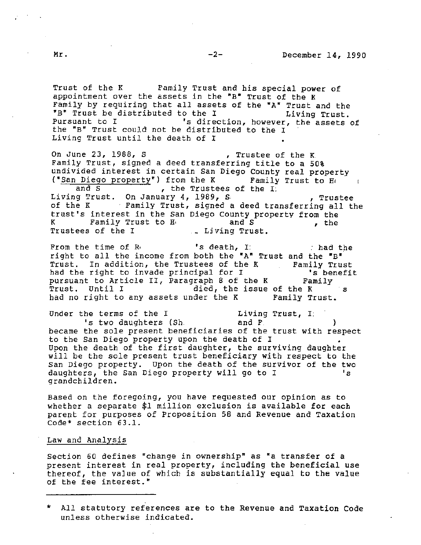Trust of the K Family Trust and his special power of appointment over the assets in the "B" Trust of the K Family by requiring that all assets of the "A" Trust and the "B" Trust be distributed to the I Living Trust.<br>Pursuant to I living Trust is direction, however, the assets 's direction, however, the assets of the "B" Trust could not be distributed to the I Living Trust until the death of I

On June 23, 1988, S , Trustee of the K. Family Trust, signed a deed transferring title to a 50% undivided interest in certain San Diego County real property ("San Diego property") from the K Family Trust to H and S  $\overline{\phantom{a}}$ , the Trustees of the I;  $\mathbb{R}$ , the Trustees of the I. Living Trust. On January 4, 1989, S. Trustee of the K Family Trust, signed a deed transferring all the trust's interest in the San Diego County property from the K Family Trust to H, and S , the Trustees of the I \_ Ljving Trust.

From the time of R, The state of R and the state of R and the state of R and the state of R and the state of  $\mathbb{R}^n$ right to all the income from both the "A" Trust and the "B" Trust. In addition, the Trustees of the K Family Trust<br>had the right to invade principal for I The Manus of the Senefit had the right to invade principal for I and the right to invade principal for I and I is benefit to Article II, Paragraph 8 of the K annily pursuant to Article II, Paragraph 8 of the K<br>Trust. Until I aied, the issue o died, the issue of the K s had no right to any assets under the K Family Trust.

Under the terms of the I and F. I. 1 Living Trust, I.<br>Is two daughters (Sh. and F. became the sole present beneficiaries of the trust with respect to the San Diego property upon the death of I Upon the death of the first daughter, the surviving daughter will be the sole present trust beneficiary with respect to the San Diego property. Upon the death of the survivor of the two daughters, the San Diego property will go to I 's grandchildren.

Based on the foregoing, you have requested our opinion as to whether a separate \$1 million exclusion is available for each parent for purposes of Proposition 58 and Revenue and Taxation Code\* section 63.1.

### Law and Analysis

*Section* 60 defines nchange in ownership" as "a transfer of a present interest in real property, including the beneficial use thereof, the value of which is substantially equal to the value of the fee interest."

• All statutory references are to the Revenue and Taxation Code unless otherwise indicated.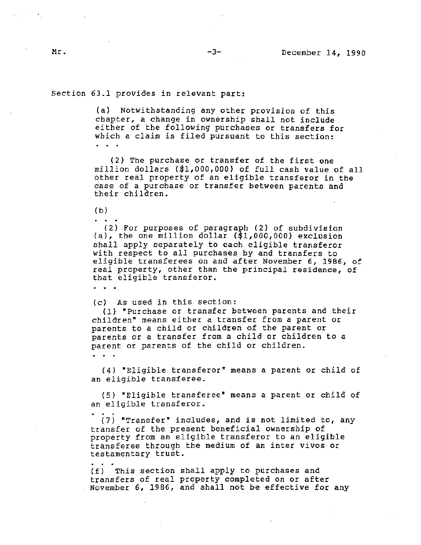Section 63.1 provides in relevant part:

(a) Notwithstanding any other provision of this chapter, a change in ownership shall not include either of the following purchases or transfers for which a claim is filed pursuant to this section:

(2) The purchase or transfer of the first one million dollars (\$1,000,000) of full cash value of all other real property of an eligible transferor in the case of a purchase or transfer between parents and their children.

(b)

 $(2)$  For purposes of paragraph  $(2)$  of subdivision (a), the one million dollar (\$1,000,000) exclusion shall apply separately to each eligible transferor with respect to all purchases by and transfers to eligible transferees on and after November 6, 1986, of real property, other than the principal residence, of that eligible transferor.

 $\mathbf{r} = \mathbf{r} + \mathbf{r}$ 

(c) As used *in this* section:

(1) "Purchase or transfer between parents and their children" means either a transfer from a parent or parents to a child or children of the parent or parents or a transfer from a child or children to a parent or parents of the child or children.

(4) "Eligible transferor" means a parent or child of an eligible transferee.

(5) "Eligible transferee" means a parent or child of an eligible transferor.

(7) "Transfer" includes, and is not limited to, any transfer of the present beneficial ownership of property from an eligible transferor to an eligible transferee through the medium of an inter vivas or testamentary trust.

(f) This section shall apply to purchases and transfers of real property completed on or after November 6, 1986, and shall not be effective for any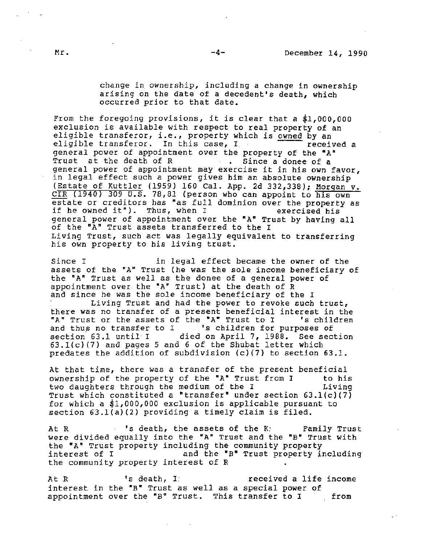change in ownership, including a change in ownership arising on the date of a decedent's death, which occurred prior to that date.

From the foregoing provisions, it is clear that a \$1,000,000 exclusion is available with respect to real property of an eligible transferor, i.e., property which is owned by an eligible transferor. In this case,  $I = \frac{1}{\sqrt{1 - \frac{1}{\sqrt{1 - \frac{1}{\sqrt{1 - \frac{1}{\sqrt{1 - \frac{1}{\sqrt{1 - \frac{1}{\sqrt{1 - \frac{1}{\sqrt{1 - \frac{1}{\sqrt{1 - \frac{1}{\sqrt{1 - \frac{1}{\sqrt{1 - \frac{1}{\sqrt{1 - \frac{1}{\sqrt{1 - \frac{1}{\sqrt{1 - \frac{1}{\sqrt{1 - \frac{1}{\sqrt{1 - \frac{1}{\sqrt{1 - \frac{1}{\sqrt{1 - \frac{1}{\sqrt{1 - \frac{$ general power of appointment over the property of the *\*A"*  Trust at the death of R Since a donee of a general power of appointment may exercise it in his own favor, in legal effect such a power gives him an absolute ownership (Estate of Kuttler (1959) 160 Cal. App. 2d 332,338); Morgan v. CIR (1940) 309 U.S. 78,81 {person who can appoint to his own estate or creditors has "as full dominion over the property as<br>if he owned it"). Thus, when I wexercised his if he owned it"). Thus, when I general power of appointment over the "A" Trust by having all of the "A" Trust assets transferred to the I Living Trust, such act was legally equivalent to transferring his own property to his living trust.

Since I in legal effect became the owner of the assets of the "A" Trust (he was the sole income beneficiary of the "A" Trust as well as the donee of a general power of appointment over the "A" Trust) at the death of R and *since* he was the sole income beneficiary of the I

Living Trust and had the power to revoke such trust, there was no transfer of a present beneficial interest in the  $TA<sup>π</sup> Trust$  or the assets of the  $TA<sup>π</sup> Trust$  to I schildren "A" Trust or the assets of the "A" Trust to I<br>and thus no transfer to I 's children for and thus no transfer to I and the later for purposes of section 63.1 until I added on April 7. 1988. See section died on April 7, 1988. See section  $63.1(c)(7)$  and pages 5 and 6 of the Shubat letter which predates the addition of subdivision (c)(7) to section 63.1.

At that time, there was a transfer of the present beneficial ownership of the property of the •A• Trust from *1* to his two daughters through the medium of the I Living Trust which constituted a "transfer" under section 63.l(c)(7} for which a \$1,000,000 exclusion is applicable pursuant to section 63.l(a)(2) providing a timely claim is filed.

At R The State of the K: Family Trust were divided equally into the "A" Trust and the "B" Trust with the "A" Trust property including the community property<br>interest of I and the "B" Trust property in and the "B" Trust property including the community property interest of R

At R  $\qquad \qquad$  's death, I received a life income interest in the "B" Trust as well as a special power of<br>appointment over the "B" Trust. This transfer to I from appointment over the "B" Trust. This transfer to I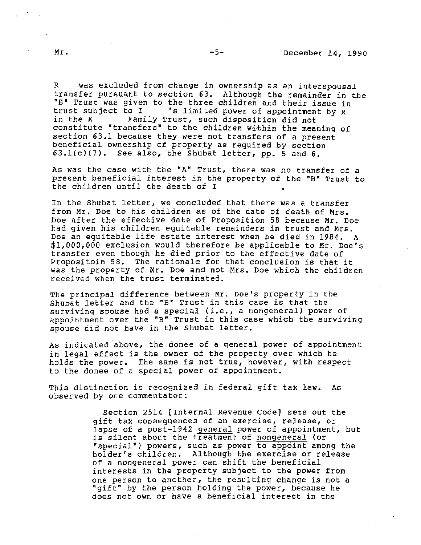*R* was excluded from change *in* ownership as an interspousal transfer pursuant to section 63. Although the remainder in the "B" Trust was given to the three children and their issue in<br>trust subject to I 's limited power of appointment by R trust subject to I <sup>'</sup>s limited power of appointment by R<br>in the K Family Trust, such disposition did not Family Trust, such disposition did not constitute "transfers" to the children within the meaning of section 63.l because they were not transfers of a present beneficial ownership of property as required by section  $63.1(c)(7)$ . See also, the Shubat letter, pp. 5 and 6.

As was the case with the "A" Trust, there was no transfer of a present beneficial interest in the property of the "B" Trust to the children until the death of I

In the Shubat letter, we concluded that there was a transfer from Mr. Doe to his children as of the date of death of Mrs. Doe after the effective date of Proposition 58 because Mr. Doe had given his children equitable remainders in trust and Mrs. Doe an equitable life estate interest when he died in 1984. A \$1,000,000 exclusion would therefore be applicable to Mr. Doe's transfer even though he died prior to the effective date of Propositoin 58. The rationale for that conclusion is that it was the property of Mr. Doe and not Mrs. Doe which the children received when the trust terminated.

The principal difference between Mr. Doe's property in the Shubat letter and the "B" Trust *in* this case is that the surviving spouse had a special (i.e., a nongeneral) power of appointment over the "B" Trust in this case which the surviving spouse did not have *in* the Shubat letter.

As indicated above, the donee of a general power of appointment *in* legal effect is the owner of the property over which he holds the power. The same is not true, however, with respect to the donee of a special power of appointment.

This distinction is recognized in federal gift tax law. As observed by one commentator:

> Section 2514 [Internal Revenue Code] sets *out* the gift tax consequences of an exercise, release, or lapse of a post-1942 general power of appointment, but *is* silent about the treatment of nongeneral (or "special") powers, such as power to appoint among the holder's children. Although the exercise or release of a nongeneral power can shift the beneficial interests in the property subject to the power from one person to another, the resulting change is not a "gift" by the person holding the power, because he does not own or have a beneficial interest in the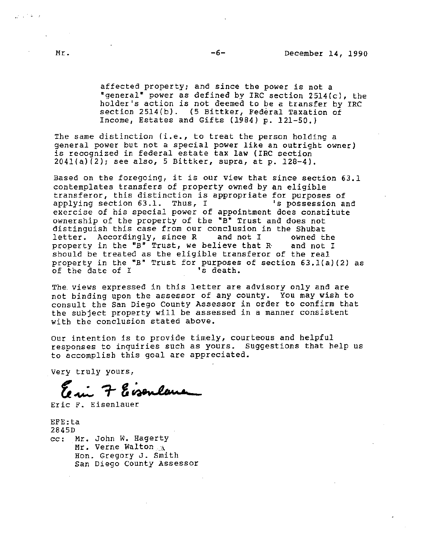affected property; and since the power is not a "general" power as defined by IRC section  $2514(c)$ , the holder's action is not deemed to be a transfer by IRC section 2514(b). (5 Bittker, Federal Taxation of Income, Estates and Gifts (1984) p. 121-50.)

The same distinction *(i.e.,* to treat the person holding a general power but not a special power like an outright owner} is recognized in federal estate tax law (IRC section 2041(a)(2); see also, 5 Bittker, supra, at p. 128-4).

Based on the foregoing, it is our view that since section 63.1 contemplates transfers of property owned by an eligible transferor, this distinction is appropriate for purposes of<br>applying section 63.1. Thus, I and the possession and applying section  $63.1$ . Thus, I exercise of his special power of appointment does constitute ownership of the property of the "B" Trust and does not distinguish this case from our conclusion in the Shubat<br>letter. Accordingly, since R and not I owned the letter. Accordingly, since R and not I owned the<br>property in the "B" Trust, we believe that R and not I property in the "B" Trust, we believe that R. should be treated as the eligible transferor of the real property in the •B• Trust for purposes of section 63.l{a){2) as property in the *B* frust for purposes<br>of the date of I 's death.

The. views expressed in this letter are advisory only and are not binding upon the assessor of any county. You may wish to consult the San Diego County Assessor in order to confirm that the subject property will be assessed in a manner consistent with the conclusion stated above.

our intention is *to* provide timely, courteous and helpful responses to inquiries such as yours. Suggestions that help us to accomplish this goal are appreciated.

Very truly yours,

Eisenlane  $\tau$ 

Eric F. Eisenlauer

EFE:ta 2845D cc: Mr. John w. Hagerty Mr. Verne Walton  $\Lambda$ Hon. Gregory J. Smith San Diego County Assessor

 $\mathcal{L}^{\text{max}}$  , where  $\mathcal{L}$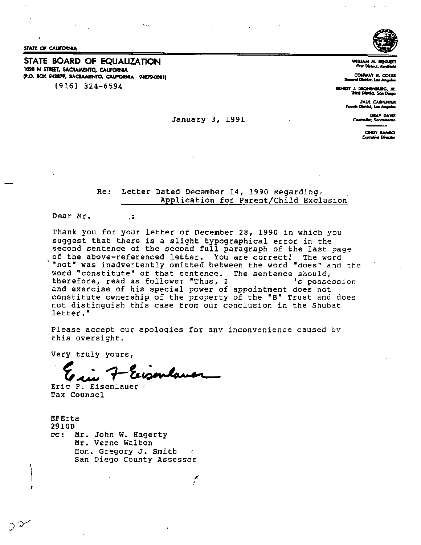STATE OF CALIFORNIA

STATE BOARD OF EQUALIZATION 1020 N STREET, SACRAMENTO, CALIFORNIA (P.O. BOX 942879, SACRAMENTO, CALIFORNIA 94279-0001)

 $\sigma_{\rm{max}}$ 

 $(916)$  324-6594



WILLIAM M. BENNE<br>First District, Kentfe

COMWAY H. COLLIS<br>Second Oistrict, Los Angeles

ERNEST J. DRONENBURG, JR.

PAUL CARPENTER Fourth District, Los Angeles

> **GRAY DAVIS** der, Socran

> > CINDY RAMAO Executive Director

January 3, 1991

 $\sim$   $\sim$ 

Letter Dated December 14, 1990 Regarding. Re: Application for Parent/Child Exclusion

Dear Mr.

Thank you for your letter of December 28, 1990 in which you suggest that there is a slight typographical error in the second sentence of the second full paragraph of the last page of the above-referenced letter. You are correct! The word "not" was inadvertently omitted between the word "does" and the word "constitute" of that sentence. The sentence should, therefore, read as follows: "Thus, I 's possession and exercise of his special power of appointment does not constitute ownership of the property of the "B" Trust and does not distinguish this case from our conclusion in the Shubat letter."

Please accept our apologies for any inconvenience caused by this oversight.

 $\mathcal{L}$ 

Very truly yours,

 $, \ddot{z}$ 

Eric F. Eisenlauer Tax Counsel

EFE:ta 2910D  $cc:$ Mr. John W. Hagerty Mr. Verne Walton Hon. Gregory J. Smith San Diego County Assessor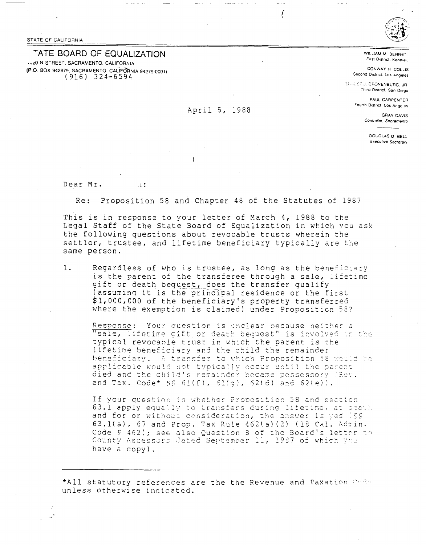STATE OF CALIFORNIA

# TATE BOARD OF EQUALIZATION

-JZ0 N STREET, SACRAMENTO, CALIFORNIA (P.O. BOX 942879, SACRAMENTO, CALIFORNIA 94279-0001)<br>(916) 324-6594

## April 5, 1988

WILLIAM M. BENNET First District, Kenthei-

CONWAY H COLLIS Second District, Los Angeles

EFILIDET J. DRONENBURG, JR. Third District, San Diego

> PAUL CARPENTER Fourth District, Los Angeles

> > **GRAY DAVIS** Controller, Sacramento

> > > DOUGLAS D BELL Executive Secretary

Dear Mr.  $\pm 1$ :

Re: Proposition 58 and Chapter 48 of the Statutes of 1987

This is in response to your letter of March 4, 1988 to the Legal Staff of the State Board of Equalization in which you ask the following questions about revocable trusts wherein the settlor, trustee, and lifetime beneficiary typically are the same person.

 $1.$ Regardless of who is trustee, as long as the beneficiary is the parent of the transferee through a sale, lifetime gift or death bequest, does the transfer qualify (assuming it is the principal residence or the first \$1,000,000 of the beneficiary's property transferred where the exemption is claimed) under Proposition 58?

Response: Your question is unclear because neither a "sale, lifetime gift or death bequest" is involved in the typical revocable trust in which the parent is the lifetime beneficiary and the child the remainder beneficiary. A transfer to which Proposition 58 would be applicable would not typically occur until the parent died and the child's remainder became possessory (Rev. and Tax. Code\* §§ 61(f), 61(q), 62(d) and 62(e)).

If your question is whether Proposition 58 and section 63.1 apply equally to transfers during lifetime, at death and for or without consideration, the answer is yes (59 63.1(a), 67 and Prop. Tax Rule 462(a)(2) (18 Cal. Admin. Code § 462); see also Question 8 of the Board's letter to County Assessors Jated September 11, 1987 of which you have a copy).

\*All statutory references are the the Revenue and Taxation Code unless otherwise indicated.

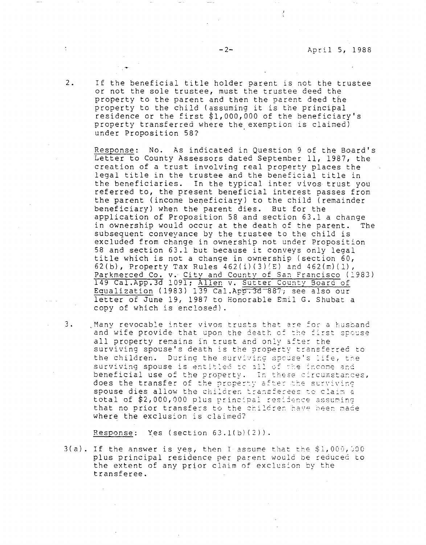·'

2. If the beneficial title holder parent is not the trustee or not the sole trustee, must the trustee deed the property to the parent and then the parent deed the property to the child (assuming it is the principal residence or the first \$1,000,000 of the beneficiary's property transferred where the exemption is claimed) under Proposition 58?

Response: No. As indicated in Question 9 of the Board's Letter to County Assessors dated September 11, 1987, the creation of a trust involving real property places the legal title in the trustee and the beneficial title in the beneficiaries. In the typical inter vivos trust you referred to, the present beneficial interest passes from the parent (income beneficiary) to the child (remainder beneficiary) when the parent dies. But for the application of Proposition 58 and section 63.1 a change in ownership would occur at the death of the parent. The subsequent conveyance by the trustee to the child is excluded from change in ownership not under Proposition 58 and section 63.1 but because it conveys only legal title which is not a change in ownership (section 60, 62(b), Property Tax Rules  $462(i)(3)(E)$  and  $462(m)(1)$ , Parkmerced Co. v. City and County of San Francisco (1983) 149 Cal.App.3d 1091; Allen v. Sutter County 3oara of Equalization (1983) 139 Cal.App.3d-887; see also our letter of June 19, 1987 to Honorable Emil G. Shubat a copy of which is enclosed).

3. Many revocable inter vivos trusts that are for a husband and wife provide that upon the death of the first spouse all property remains in trust and only after the surviving spouse's death is the property transferred to the children. During the surviving spouse's life, the surviving spouse is entitled to all of the income and beneficial use of the property. In these circumstances, benericial doe of the property. The sheed of cambedne spouse dies allow the children transferees to claim a total of  $$2,000,000$  plus principal residence assuming that no prior transfers to the children have been made where the exclusion is claimed?

Response: Yes (section  $63.1(b)(2)$ ).

 $3(a)$ . If the answer is yes, then I assume that the \$1,000,000 plus principal residence per parent would be reduced to the extent of any prior claim of exclusion by the transferee.

 $\ddot{\phantom{a}}$